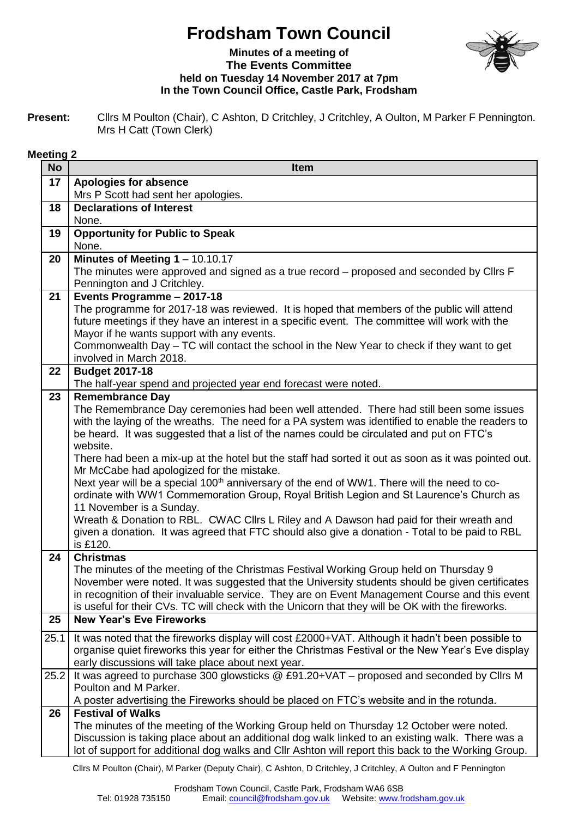## **Frodsham Town Council**



## **Minutes of a meeting of The Events Committee held on Tuesday 14 November 2017 at 7pm In the Town Council Office, Castle Park, Frodsham**

**Present:** Cllrs M Poulton (Chair), C Ashton, D Critchley, J Critchley, A Oulton, M Parker F Pennington. Mrs H Catt (Town Clerk)

## **Meeting 2**

| <b>No</b> | <b>Item</b>                                                                                                                                                                                        |
|-----------|----------------------------------------------------------------------------------------------------------------------------------------------------------------------------------------------------|
| 17        | <b>Apologies for absence</b>                                                                                                                                                                       |
|           | Mrs P Scott had sent her apologies.                                                                                                                                                                |
| 18        | <b>Declarations of Interest</b>                                                                                                                                                                    |
|           | None.                                                                                                                                                                                              |
| 19        | <b>Opportunity for Public to Speak</b><br>None.                                                                                                                                                    |
| 20        | Minutes of Meeting $1 - 10.10.17$                                                                                                                                                                  |
|           | The minutes were approved and signed as a true record – proposed and seconded by Cllrs F                                                                                                           |
|           | Pennington and J Critchley.                                                                                                                                                                        |
| 21        | Events Programme - 2017-18                                                                                                                                                                         |
|           | The programme for 2017-18 was reviewed. It is hoped that members of the public will attend                                                                                                         |
|           | future meetings if they have an interest in a specific event. The committee will work with the                                                                                                     |
|           | Mayor if he wants support with any events.                                                                                                                                                         |
|           | Commonwealth Day - TC will contact the school in the New Year to check if they want to get                                                                                                         |
|           | involved in March 2018.                                                                                                                                                                            |
| 22        | <b>Budget 2017-18</b><br>The half-year spend and projected year end forecast were noted.                                                                                                           |
| 23        | <b>Remembrance Day</b>                                                                                                                                                                             |
|           | The Remembrance Day ceremonies had been well attended. There had still been some issues                                                                                                            |
|           | with the laying of the wreaths. The need for a PA system was identified to enable the readers to                                                                                                   |
|           | be heard. It was suggested that a list of the names could be circulated and put on FTC's                                                                                                           |
|           | website.                                                                                                                                                                                           |
|           | There had been a mix-up at the hotel but the staff had sorted it out as soon as it was pointed out.                                                                                                |
|           | Mr McCabe had apologized for the mistake.                                                                                                                                                          |
|           | Next year will be a special 100 <sup>th</sup> anniversary of the end of WW1. There will the need to co-<br>ordinate with WW1 Commemoration Group, Royal British Legion and St Laurence's Church as |
|           | 11 November is a Sunday.                                                                                                                                                                           |
|           | Wreath & Donation to RBL. CWAC Cllrs L Riley and A Dawson had paid for their wreath and                                                                                                            |
|           | given a donation. It was agreed that FTC should also give a donation - Total to be paid to RBL                                                                                                     |
|           | is £120.                                                                                                                                                                                           |
| 24        | <b>Christmas</b>                                                                                                                                                                                   |
|           | The minutes of the meeting of the Christmas Festival Working Group held on Thursday 9                                                                                                              |
|           | November were noted. It was suggested that the University students should be given certificates<br>in recognition of their invaluable service. They are on Event Management Course and this event  |
|           | is useful for their CVs. TC will check with the Unicorn that they will be OK with the fireworks.                                                                                                   |
| 25        | <b>New Year's Eve Fireworks</b>                                                                                                                                                                    |
| 25.1      | It was noted that the fireworks display will cost £2000+VAT. Although it hadn't been possible to                                                                                                   |
|           | organise quiet fireworks this year for either the Christmas Festival or the New Year's Eve display                                                                                                 |
|           | early discussions will take place about next year.                                                                                                                                                 |
| 25.2      | It was agreed to purchase 300 glowsticks @ £91.20+VAT - proposed and seconded by Cllrs M                                                                                                           |
|           | Poulton and M Parker.<br>A poster advertising the Fireworks should be placed on FTC's website and in the rotunda.                                                                                  |
| 26        | <b>Festival of Walks</b>                                                                                                                                                                           |
|           | The minutes of the meeting of the Working Group held on Thursday 12 October were noted.                                                                                                            |
|           | Discussion is taking place about an additional dog walk linked to an existing walk. There was a                                                                                                    |
|           | lot of support for additional dog walks and Cllr Ashton will report this back to the Working Group.                                                                                                |
|           |                                                                                                                                                                                                    |

Cllrs M Poulton (Chair), M Parker (Deputy Chair), C Ashton, D Critchley, J Critchley, A Oulton and F Pennington